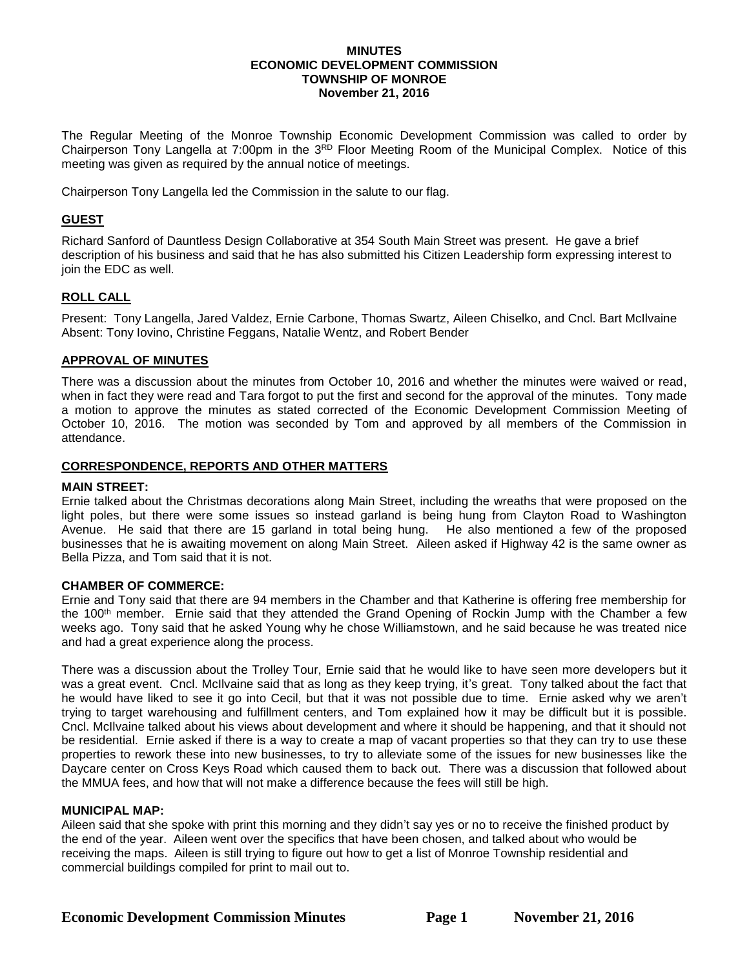#### **MINUTES ECONOMIC DEVELOPMENT COMMISSION TOWNSHIP OF MONROE November 21, 2016**

The Regular Meeting of the Monroe Township Economic Development Commission was called to order by Chairperson Tony Langella at 7:00pm in the 3<sup>RD</sup> Floor Meeting Room of the Municipal Complex. Notice of this meeting was given as required by the annual notice of meetings.

Chairperson Tony Langella led the Commission in the salute to our flag.

# **GUEST**

Richard Sanford of Dauntless Design Collaborative at 354 South Main Street was present. He gave a brief description of his business and said that he has also submitted his Citizen Leadership form expressing interest to join the EDC as well.

# **ROLL CALL**

Present: Tony Langella, Jared Valdez, Ernie Carbone, Thomas Swartz, Aileen Chiselko, and Cncl. Bart McIlvaine Absent: Tony Iovino, Christine Feggans, Natalie Wentz, and Robert Bender

# **APPROVAL OF MINUTES**

There was a discussion about the minutes from October 10, 2016 and whether the minutes were waived or read, when in fact they were read and Tara forgot to put the first and second for the approval of the minutes. Tony made a motion to approve the minutes as stated corrected of the Economic Development Commission Meeting of October 10, 2016. The motion was seconded by Tom and approved by all members of the Commission in attendance.

# **CORRESPONDENCE, REPORTS AND OTHER MATTERS**

### **MAIN STREET:**

Ernie talked about the Christmas decorations along Main Street, including the wreaths that were proposed on the light poles, but there were some issues so instead garland is being hung from Clayton Road to Washington Avenue. He said that there are 15 garland in total being hung. He also mentioned a few of the proposed businesses that he is awaiting movement on along Main Street. Aileen asked if Highway 42 is the same owner as Bella Pizza, and Tom said that it is not.

### **CHAMBER OF COMMERCE:**

Ernie and Tony said that there are 94 members in the Chamber and that Katherine is offering free membership for the 100th member. Ernie said that they attended the Grand Opening of Rockin Jump with the Chamber a few weeks ago. Tony said that he asked Young why he chose Williamstown, and he said because he was treated nice and had a great experience along the process.

There was a discussion about the Trolley Tour, Ernie said that he would like to have seen more developers but it was a great event. Cncl. McIlvaine said that as long as they keep trying, it's great. Tony talked about the fact that he would have liked to see it go into Cecil, but that it was not possible due to time. Ernie asked why we aren't trying to target warehousing and fulfillment centers, and Tom explained how it may be difficult but it is possible. Cncl. McIlvaine talked about his views about development and where it should be happening, and that it should not be residential. Ernie asked if there is a way to create a map of vacant properties so that they can try to use these properties to rework these into new businesses, to try to alleviate some of the issues for new businesses like the Daycare center on Cross Keys Road which caused them to back out. There was a discussion that followed about the MMUA fees, and how that will not make a difference because the fees will still be high.

### **MUNICIPAL MAP:**

Aileen said that she spoke with print this morning and they didn't say yes or no to receive the finished product by the end of the year. Aileen went over the specifics that have been chosen, and talked about who would be receiving the maps. Aileen is still trying to figure out how to get a list of Monroe Township residential and commercial buildings compiled for print to mail out to.

**Economic Development Commission Minutes Page 1 November 21, 2016**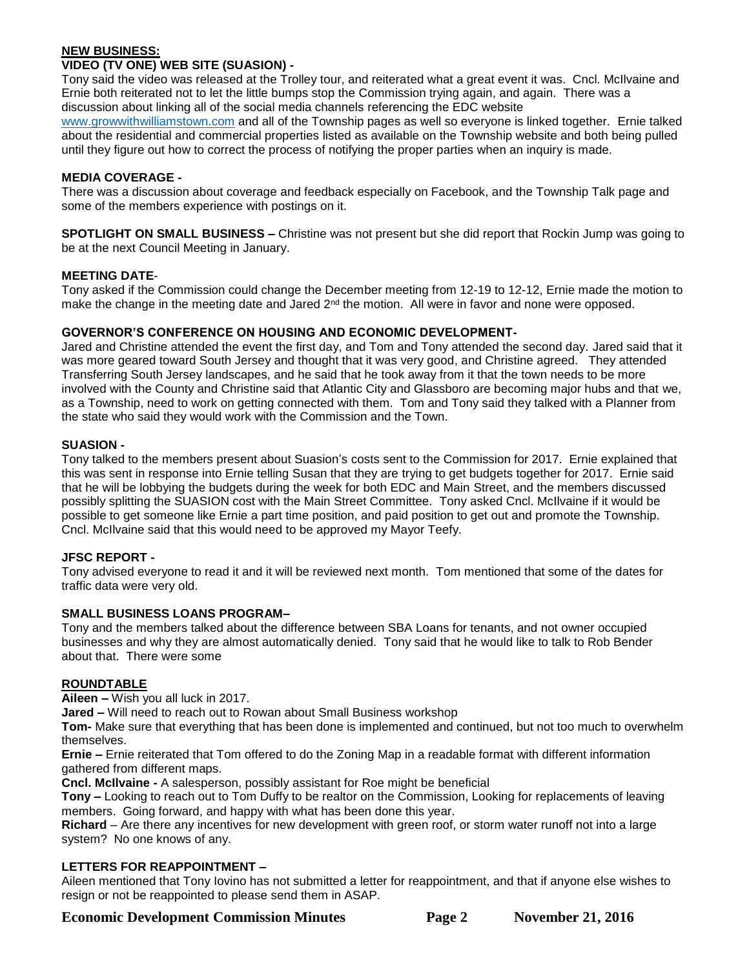# **NEW BUSINESS:**

# **VIDEO (TV ONE) WEB SITE (SUASION) -**

Tony said the video was released at the Trolley tour, and reiterated what a great event it was. Cncl. McIlvaine and Ernie both reiterated not to let the little bumps stop the Commission trying again, and again. There was a discussion about linking all of the social media channels referencing the EDC website

[www.growwithwilliamstown.com](http://www.growwithwilliamstown.com/) and all of the Township pages as well so everyone is linked together. Ernie talked about the residential and commercial properties listed as available on the Township website and both being pulled until they figure out how to correct the process of notifying the proper parties when an inquiry is made.

# **MEDIA COVERAGE -**

There was a discussion about coverage and feedback especially on Facebook, and the Township Talk page and some of the members experience with postings on it.

**SPOTLIGHT ON SMALL BUSINESS –** Christine was not present but she did report that Rockin Jump was going to be at the next Council Meeting in January.

# **MEETING DATE**-

Tony asked if the Commission could change the December meeting from 12-19 to 12-12, Ernie made the motion to make the change in the meeting date and Jared 2<sup>nd</sup> the motion. All were in favor and none were opposed.

# **GOVERNOR'S CONFERENCE ON HOUSING AND ECONOMIC DEVELOPMENT-**

Jared and Christine attended the event the first day, and Tom and Tony attended the second day. Jared said that it was more geared toward South Jersey and thought that it was very good, and Christine agreed. They attended Transferring South Jersey landscapes, and he said that he took away from it that the town needs to be more involved with the County and Christine said that Atlantic City and Glassboro are becoming major hubs and that we, as a Township, need to work on getting connected with them. Tom and Tony said they talked with a Planner from the state who said they would work with the Commission and the Town.

# **SUASION -**

Tony talked to the members present about Suasion's costs sent to the Commission for 2017. Ernie explained that this was sent in response into Ernie telling Susan that they are trying to get budgets together for 2017. Ernie said that he will be lobbying the budgets during the week for both EDC and Main Street, and the members discussed possibly splitting the SUASION cost with the Main Street Committee. Tony asked Cncl. McIlvaine if it would be possible to get someone like Ernie a part time position, and paid position to get out and promote the Township. Cncl. McIlvaine said that this would need to be approved my Mayor Teefy.

### **JFSC REPORT -**

Tony advised everyone to read it and it will be reviewed next month. Tom mentioned that some of the dates for traffic data were very old.

### **SMALL BUSINESS LOANS PROGRAM–**

Tony and the members talked about the difference between SBA Loans for tenants, and not owner occupied businesses and why they are almost automatically denied. Tony said that he would like to talk to Rob Bender about that. There were some

### **ROUNDTABLE**

**Aileen –** Wish you all luck in 2017.

**Jared –** Will need to reach out to Rowan about Small Business workshop

**Tom-** Make sure that everything that has been done is implemented and continued, but not too much to overwhelm themselves.

**Ernie –** Ernie reiterated that Tom offered to do the Zoning Map in a readable format with different information gathered from different maps.

**Cncl. McIlvaine -** A salesperson, possibly assistant for Roe might be beneficial

**Tony –** Looking to reach out to Tom Duffy to be realtor on the Commission, Looking for replacements of leaving members. Going forward, and happy with what has been done this year.

**Richard** – Are there any incentives for new development with green roof, or storm water runoff not into a large system? No one knows of any.

# **LETTERS FOR REAPPOINTMENT –**

Aileen mentioned that Tony Iovino has not submitted a letter for reappointment, and that if anyone else wishes to resign or not be reappointed to please send them in ASAP.

**Economic Development Commission Minutes Page 2 November 21, 2016**